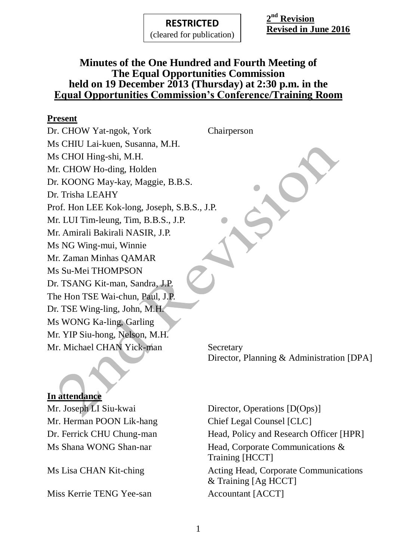#### **RESTRICTED**

(cleared for publication)

**2 nd Revision Revised in June 2016**

#### **Minutes of the One Hundred and Fourth Meeting of The Equal Opportunities Commission held on 19 December 2013 (Thursday) at 2:30 p.m. in the Equal Opportunities Commission's Conference/Training Room**

#### **Present**

Dr. CHOW Yat-ngok, York Chairperson Ms CHIU Lai-kuen, Susanna, M.H. Ms CHOI Hing-shi, M.H. Mr. CHOW Ho-ding, Holden Dr. KOONG May-kay, Maggie, B.B.S. Dr. Trisha LEAHY Prof. Hon LEE Kok-long, Joseph, S.B.S., J.P. Mr. LUI Tim-leung, Tim, B.B.S., J.P. Mr. Amirali Bakirali NASIR, J.P. Ms NG Wing-mui, Winnie Mr. Zaman Minhas QAMAR Ms Su-Mei THOMPSON Dr. TSANG Kit-man, Sandra, J.P. The Hon TSE Wai-chun, Paul, J.P. Dr. TSE Wing-ling, John, M.H. Ms WONG Ka-ling, Garling Mr. YIP Siu-hong, Nelson, M.H. Mr. Michael CHAN Yick-man Secretary

#### **In attendance**

Mr. Herman POON Lik-hang Chief Legal Counsel [CLC]

Miss Kerrie TENG Yee-san Accountant [ACCT]

Mr. Joseph LI Siu-kwai Director, Operations [D(Ops)] Dr. Ferrick CHU Chung-man Head, Policy and Research Officer [HPR] Ms Shana WONG Shan-nar Head, Corporate Communications & Training [HCCT] Ms Lisa CHAN Kit-ching **Acting Head, Corporate Communications** & Training [Ag HCCT]

Director, Planning & Administration [DPA]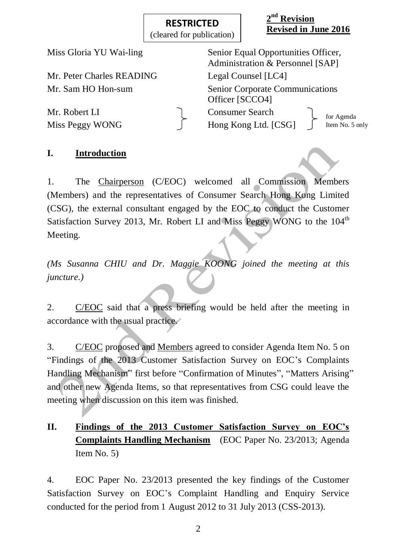**2 nd Revision Revised in June 2016**

Mr. Peter Charles READING Legal Counsel [LC4]

Mr. Robert LI Consumer Search Miss Peggy WONG  $\qquad \qquad$  Hong Kong Ltd. [CSG]

Miss Gloria YU Wai-ling Senior Equal Opportunities Officer, Administration & Personnel [SAP] Mr. Sam HO Hon-sum Senior Corporate Communications Officer [SCCO4] for Agenda Item No. 5 only

# **I. Introduction**

1. The Chairperson (C/EOC) welcomed all Commission Members (Members) and the representatives of Consumer Search Hong Kong Limited (CSG), the external consultant engaged by the EOC to conduct the Customer Satisfaction Survey 2013, Mr. Robert LI and Miss Peggy WONG to the  $104<sup>th</sup>$ Meeting.

*(Ms Susanna CHIU and Dr. Maggie KOONG joined the meeting at this juncture.)*

2. C/EOC said that a press briefing would be held after the meeting in accordance with the usual practice.

3. C/EOC proposed and Members agreed to consider Agenda Item No. 5 on "Findings of the 2013 Customer Satisfaction Survey on EOC's Complaints Handling Mechanism" first before "Confirmation of Minutes", "Matters Arising" and other new Agenda Items, so that representatives from CSG could leave the meeting when discussion on this item was finished.

# **II. Findings of the 2013 Customer Satisfaction Survey on EOC's Complaints Handling Mechanism** (EOC Paper No. 23/2013; Agenda Item No. 5)

4. EOC Paper No. 23/2013 presented the key findings of the Customer Satisfaction Survey on EOC's Complaint Handling and Enquiry Service conducted for the period from 1 August 2012 to 31 July 2013 (CSS-2013).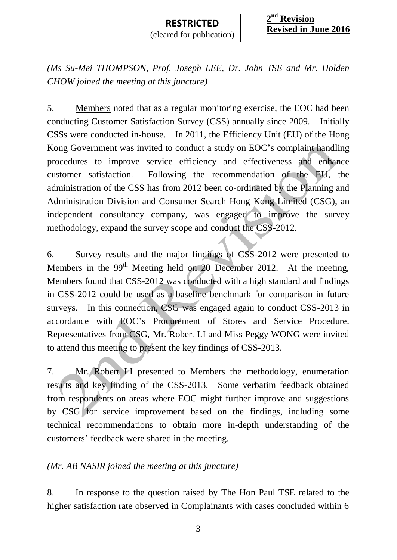**2 nd Revision Revised in June 2016**

*(Ms Su-Mei THOMPSON, Prof. Joseph LEE, Dr. John TSE and Mr. Holden CHOW joined the meeting at this juncture)* 

5. Members noted that as a regular monitoring exercise, the EOC had been conducting Customer Satisfaction Survey (CSS) annually since 2009. Initially CSSs were conducted in-house. In 2011, the Efficiency Unit (EU) of the Hong Kong Government was invited to conduct a study on EOC's complaint handling procedures to improve service efficiency and effectiveness and enhance customer satisfaction. Following the recommendation of the EU, the administration of the CSS has from 2012 been co-ordinated by the Planning and Administration Division and Consumer Search Hong Kong Limited (CSG), an independent consultancy company, was engaged to improve the survey methodology, expand the survey scope and conduct the CSS-2012.

6. Survey results and the major findings of CSS-2012 were presented to Members in the  $99<sup>th</sup>$  Meeting held on 20 December 2012. At the meeting, Members found that CSS-2012 was conducted with a high standard and findings in CSS-2012 could be used as a baseline benchmark for comparison in future surveys. In this connection, CSG was engaged again to conduct CSS-2013 in accordance with EOC's Procurement of Stores and Service Procedure. Representatives from CSG, Mr. Robert LI and Miss Peggy WONG were invited to attend this meeting to present the key findings of CSS-2013.

7. Mr. Robert LI presented to Members the methodology, enumeration results and key finding of the CSS-2013. Some verbatim feedback obtained from respondents on areas where EOC might further improve and suggestions by CSG for service improvement based on the findings, including some technical recommendations to obtain more in-depth understanding of the customers' feedback were shared in the meeting.

#### *(Mr. AB NASIR joined the meeting at this juncture)*

8. In response to the question raised by The Hon Paul TSE related to the higher satisfaction rate observed in Complainants with cases concluded within 6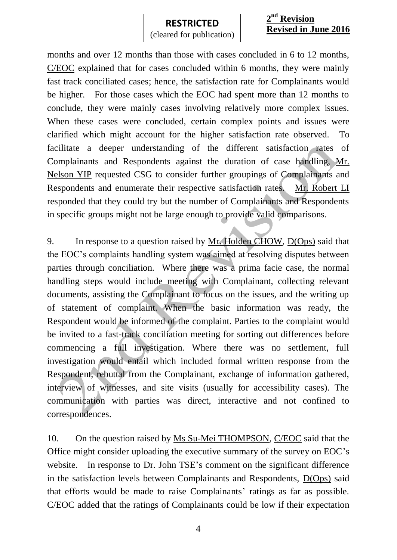#### **2 nd Revision Revised in June 2016**

months and over 12 months than those with cases concluded in 6 to 12 months, C/EOC explained that for cases concluded within 6 months, they were mainly fast track conciliated cases; hence, the satisfaction rate for Complainants would be higher. For those cases which the EOC had spent more than 12 months to conclude, they were mainly cases involving relatively more complex issues. When these cases were concluded, certain complex points and issues were clarified which might account for the higher satisfaction rate observed. To facilitate a deeper understanding of the different satisfaction rates of Complainants and Respondents against the duration of case handling, Mr. Nelson YIP requested CSG to consider further groupings of Complainants and Respondents and enumerate their respective satisfaction rates. Mr. Robert LI responded that they could try but the number of Complainants and Respondents in specific groups might not be large enough to provide valid comparisons.

9. In response to a question raised by Mr. Holden CHOW, D(Ops) said that the EOC's complaints handling system was aimed at resolving disputes between parties through conciliation. Where there was a prima facie case, the normal handling steps would include meeting with Complainant, collecting relevant documents, assisting the Complainant to focus on the issues, and the writing up of statement of complaint. When the basic information was ready, the Respondent would be informed of the complaint. Parties to the complaint would be invited to a fast-track conciliation meeting for sorting out differences before commencing a full investigation. Where there was no settlement, full investigation would entail which included formal written response from the Respondent, rebuttal from the Complainant, exchange of information gathered, interview of witnesses, and site visits (usually for accessibility cases). The communication with parties was direct, interactive and not confined to correspondences.

10. On the question raised by Ms Su-Mei THOMPSON, C/EOC said that the Office might consider uploading the executive summary of the survey on EOC's website. In response to Dr. John TSE's comment on the significant difference in the satisfaction levels between Complainants and Respondents, D(Ops) said that efforts would be made to raise Complainants' ratings as far as possible. C/EOC added that the ratings of Complainants could be low if their expectation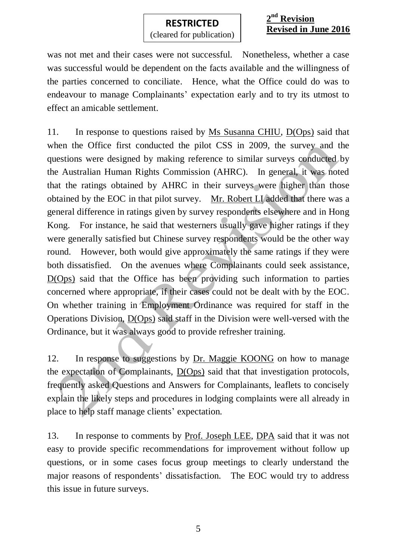# **RESTRICTED**

**2 nd Revision Revised in June 2016**

(cleared for publication)

was not met and their cases were not successful. Nonetheless, whether a case was successful would be dependent on the facts available and the willingness of the parties concerned to conciliate. Hence, what the Office could do was to endeavour to manage Complainants' expectation early and to try its utmost to effect an amicable settlement.

11. In response to questions raised by Ms Susanna CHIU, D(Ops) said that when the Office first conducted the pilot CSS in 2009, the survey and the questions were designed by making reference to similar surveys conducted by the Australian Human Rights Commission (AHRC). In general, it was noted that the ratings obtained by AHRC in their surveys were higher than those obtained by the EOC in that pilot survey. Mr. Robert LI added that there was a general difference in ratings given by survey respondents elsewhere and in Hong Kong. For instance, he said that westerners usually gave higher ratings if they were generally satisfied but Chinese survey respondents would be the other way round. However, both would give approximately the same ratings if they were both dissatisfied. On the avenues where Complainants could seek assistance, D(Ops) said that the Office has been providing such information to parties concerned where appropriate, if their cases could not be dealt with by the EOC. On whether training in Employment Ordinance was required for staff in the Operations Division, D(Ops) said staff in the Division were well-versed with the Ordinance, but it was always good to provide refresher training.

12. In response to suggestions by Dr. Maggie KOONG on how to manage the expectation of Complainants, D(Ops) said that that investigation protocols, frequently asked Questions and Answers for Complainants, leaflets to concisely explain the likely steps and procedures in lodging complaints were all already in place to help staff manage clients' expectation.

13. In response to comments by Prof. Joseph LEE, DPA said that it was not easy to provide specific recommendations for improvement without follow up questions, or in some cases focus group meetings to clearly understand the major reasons of respondents' dissatisfaction. The EOC would try to address this issue in future surveys.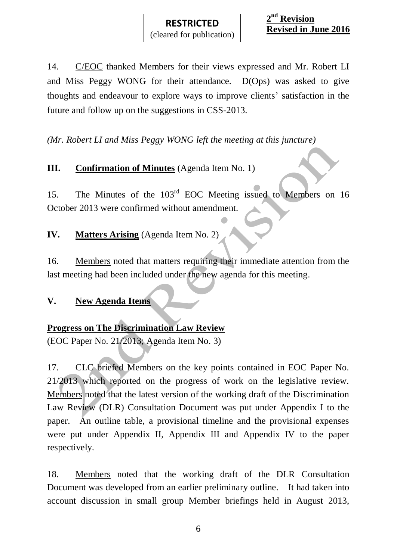14. C/EOC thanked Members for their views expressed and Mr. Robert LI and Miss Peggy WONG for their attendance. D(Ops) was asked to give thoughts and endeavour to explore ways to improve clients' satisfaction in the future and follow up on the suggestions in CSS-2013.

*(Mr. Robert LI and Miss Peggy WONG left the meeting at this juncture)*

# **III. Confirmation of Minutes** (Agenda Item No. 1)

15. The Minutes of the 103rd EOC Meeting issued to Members on 16 October 2013 were confirmed without amendment.

**IV. Matters Arising** (Agenda Item No. 2)

16. Members noted that matters requiring their immediate attention from the last meeting had been included under the new agenda for this meeting.

# **V. New Agenda Items**

# **Progress on The Discrimination Law Review**

(EOC Paper No. 21/2013; Agenda Item No. 3)

17. CLC briefed Members on the key points contained in EOC Paper No. 21/2013 which reported on the progress of work on the legislative review. Members noted that the latest version of the working draft of the Discrimination Law Review (DLR) Consultation Document was put under Appendix I to the paper. An outline table, a provisional timeline and the provisional expenses were put under Appendix II, Appendix III and Appendix IV to the paper respectively.

18. Members noted that the working draft of the DLR Consultation Document was developed from an earlier preliminary outline. It had taken into account discussion in small group Member briefings held in August 2013,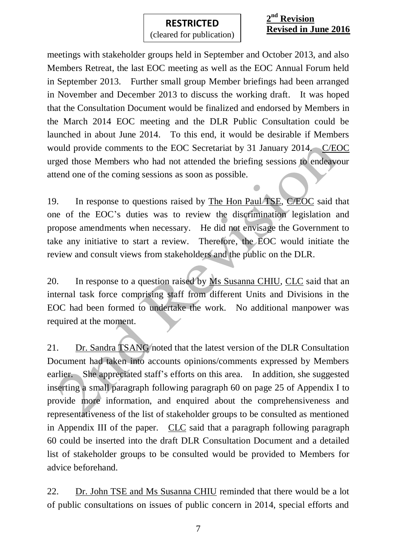#### **2 nd Revision Revised in June 2016**

meetings with stakeholder groups held in September and October 2013, and also Members Retreat, the last EOC meeting as well as the EOC Annual Forum held in September 2013. Further small group Member briefings had been arranged in November and December 2013 to discuss the working draft. It was hoped that the Consultation Document would be finalized and endorsed by Members in the March 2014 EOC meeting and the DLR Public Consultation could be launched in about June 2014. To this end, it would be desirable if Members would provide comments to the EOC Secretariat by 31 January 2014. C/EOC urged those Members who had not attended the briefing sessions to endeavour attend one of the coming sessions as soon as possible.

19. In response to questions raised by The Hon Paul TSE, C/EOC said that one of the EOC's duties was to review the discrimination legislation and propose amendments when necessary. He did not envisage the Government to take any initiative to start a review. Therefore, the EOC would initiate the review and consult views from stakeholders and the public on the DLR.

20. In response to a question raised by Ms Susanna CHIU, CLC said that an internal task force comprising staff from different Units and Divisions in the EOC had been formed to undertake the work. No additional manpower was required at the moment.

21. Dr. Sandra TSANG noted that the latest version of the DLR Consultation Document had taken into accounts opinions/comments expressed by Members earlier. She appreciated staff's efforts on this area. In addition, she suggested inserting a small paragraph following paragraph 60 on page 25 of Appendix I to provide more information, and enquired about the comprehensiveness and representativeness of the list of stakeholder groups to be consulted as mentioned in Appendix III of the paper. CLC said that a paragraph following paragraph 60 could be inserted into the draft DLR Consultation Document and a detailed list of stakeholder groups to be consulted would be provided to Members for advice beforehand.

22. Dr. John TSE and Ms Susanna CHIU reminded that there would be a lot of public consultations on issues of public concern in 2014, special efforts and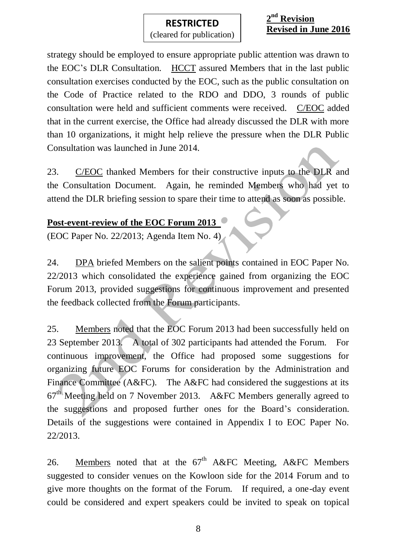strategy should be employed to ensure appropriate public attention was drawn to the EOC's DLR Consultation. HCCT assured Members that in the last public consultation exercises conducted by the EOC, such as the public consultation on the Code of Practice related to the RDO and DDO, 3 rounds of public consultation were held and sufficient comments were received. C/EOC added that in the current exercise, the Office had already discussed the DLR with more than 10 organizations, it might help relieve the pressure when the DLR Public Consultation was launched in June 2014.

23. C/EOC thanked Members for their constructive inputs to the DLR and the Consultation Document. Again, he reminded Members who had yet to attend the DLR briefing session to spare their time to attend as soon as possible.

#### **Post-event-review of the EOC Forum 2013**

(EOC Paper No. 22/2013; Agenda Item No. 4)

24. DPA briefed Members on the salient points contained in EOC Paper No. 22/2013 which consolidated the experience gained from organizing the EOC Forum 2013, provided suggestions for continuous improvement and presented the feedback collected from the Forum participants.

25. Members noted that the EOC Forum 2013 had been successfully held on 23 September 2013. A total of 302 participants had attended the Forum. For continuous improvement, the Office had proposed some suggestions for organizing future EOC Forums for consideration by the Administration and Finance Committee (A&FC). The A&FC had considered the suggestions at its 67th Meeting held on 7 November 2013. A&FC Members generally agreed to the suggestions and proposed further ones for the Board's consideration. Details of the suggestions were contained in Appendix I to EOC Paper No. 22/2013.

26. Members noted that at the  $67<sup>th</sup>$  A&FC Meeting, A&FC Members suggested to consider venues on the Kowloon side for the 2014 Forum and to give more thoughts on the format of the Forum. If required, a one-day event could be considered and expert speakers could be invited to speak on topical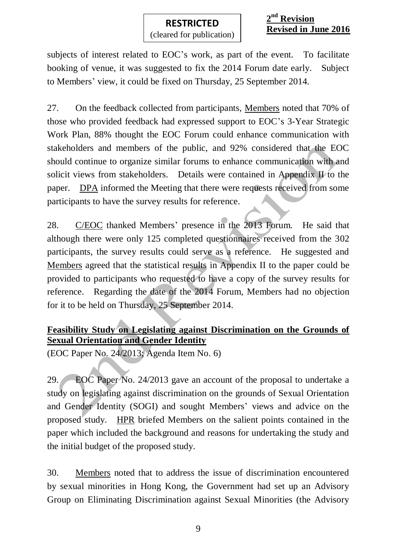**2 nd Revision Revised in June 2016**

subjects of interest related to EOC's work, as part of the event. To facilitate booking of venue, it was suggested to fix the 2014 Forum date early. Subject to Members' view, it could be fixed on Thursday, 25 September 2014.

27. On the feedback collected from participants, Members noted that 70% of those who provided feedback had expressed support to EOC's 3-Year Strategic Work Plan, 88% thought the EOC Forum could enhance communication with stakeholders and members of the public, and 92% considered that the EOC should continue to organize similar forums to enhance communication with and solicit views from stakeholders. Details were contained in Appendix II to the paper. DPA informed the Meeting that there were requests received from some participants to have the survey results for reference.

28. C/EOC thanked Members' presence in the 2013 Forum. He said that although there were only 125 completed questionnaires received from the 302 participants, the survey results could serve as a reference. He suggested and Members agreed that the statistical results in Appendix II to the paper could be provided to participants who requested to have a copy of the survey results for reference. Regarding the date of the 2014 Forum, Members had no objection for it to be held on Thursday, 25 September 2014.

# **Feasibility Study on Legislating against Discrimination on the Grounds of Sexual Orientation and Gender Identity**

(EOC Paper No. 24/2013; Agenda Item No. 6)

29. EOC Paper No. 24/2013 gave an account of the proposal to undertake a study on legislating against discrimination on the grounds of Sexual Orientation and Gender Identity (SOGI) and sought Members' views and advice on the proposed study. HPR briefed Members on the salient points contained in the paper which included the background and reasons for undertaking the study and the initial budget of the proposed study.

30. Members noted that to address the issue of discrimination encountered by sexual minorities in Hong Kong, the Government had set up an Advisory Group on Eliminating Discrimination against Sexual Minorities (the Advisory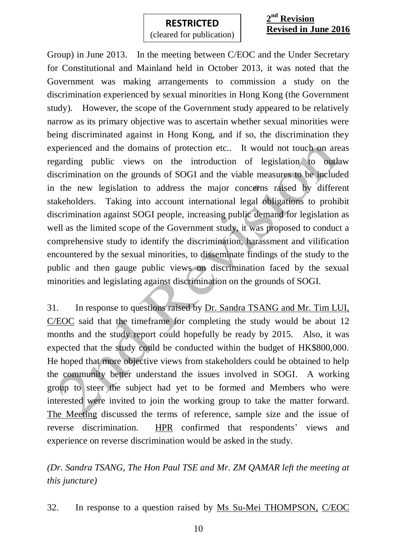#### **2 nd Revision Revised in June 2016**

Group) in June 2013. In the meeting between C/EOC and the Under Secretary for Constitutional and Mainland held in October 2013, it was noted that the Government was making arrangements to commission a study on the discrimination experienced by sexual minorities in Hong Kong (the Government study). However, the scope of the Government study appeared to be relatively narrow as its primary objective was to ascertain whether sexual minorities were being discriminated against in Hong Kong, and if so, the discrimination they experienced and the domains of protection etc.. It would not touch on areas regarding public views on the introduction of legislation to outlaw discrimination on the grounds of SOGI and the viable measures to be included in the new legislation to address the major concerns raised by different stakeholders. Taking into account international legal obligations to prohibit discrimination against SOGI people, increasing public demand for legislation as well as the limited scope of the Government study, it was proposed to conduct a comprehensive study to identify the discrimination, harassment and vilification encountered by the sexual minorities, to disseminate findings of the study to the public and then gauge public views on discrimination faced by the sexual minorities and legislating against discrimination on the grounds of SOGI.

31. In response to questions raised by Dr. Sandra TSANG and Mr. Tim LUI, C/EOC said that the timeframe for completing the study would be about 12 months and the study report could hopefully be ready by 2015. Also, it was expected that the study could be conducted within the budget of HK\$800,000. He hoped that more objective views from stakeholders could be obtained to help the community better understand the issues involved in SOGI. A working group to steer the subject had yet to be formed and Members who were interested were invited to join the working group to take the matter forward. The Meeting discussed the terms of reference, sample size and the issue of reverse discrimination. HPR confirmed that respondents' views and experience on reverse discrimination would be asked in the study.

*(Dr. Sandra TSANG, The Hon Paul TSE and Mr. ZM QAMAR left the meeting at this juncture)*

32. In response to a question raised by Ms Su-Mei THOMPSON, C/EOC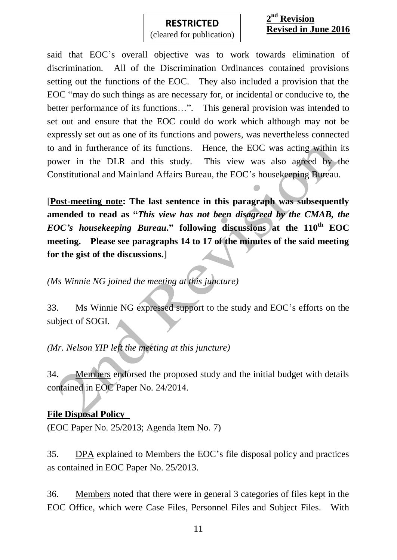#### **2 nd Revision Revised in June 2016**

said that EOC's overall objective was to work towards elimination of discrimination. All of the Discrimination Ordinances contained provisions setting out the functions of the EOC. They also included a provision that the EOC "may do such things as are necessary for, or incidental or conducive to, the better performance of its functions...". This general provision was intended to set out and ensure that the EOC could do work which although may not be expressly set out as one of its functions and powers, was nevertheless connected to and in furtherance of its functions. Hence, the EOC was acting within its power in the DLR and this study. This view was also agreed by the Constitutional and Mainland Affairs Bureau, the EOC's housekeeping Bureau.

[**Post-meeting note: The last sentence in this paragraph was subsequently amended to read as "***This view has not been disagreed by the CMAB, the EOC's housekeeping Bureau***." following discussions at the 110th EOC meeting. Please see paragraphs 14 to 17 of the minutes of the said meeting for the gist of the discussions.**]

*(Ms Winnie NG joined the meeting at this juncture)*

33. Ms Winnie NG expressed support to the study and EOC's efforts on the subject of SOGI.

# *(Mr. Nelson YIP left the meeting at this juncture)*

34. Members endorsed the proposed study and the initial budget with details contained in EOC Paper No. 24/2014.

#### **File Disposal Policy**

(EOC Paper No. 25/2013; Agenda Item No. 7)

35. DPA explained to Members the EOC's file disposal policy and practices as contained in EOC Paper No. 25/2013.

36. Members noted that there were in general 3 categories of files kept in the EOC Office, which were Case Files, Personnel Files and Subject Files. With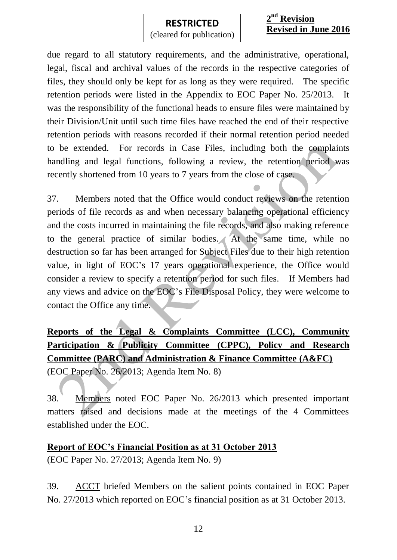#### **2 nd Revision Revised in June 2016**

due regard to all statutory requirements, and the administrative, operational, legal, fiscal and archival values of the records in the respective categories of files, they should only be kept for as long as they were required. The specific retention periods were listed in the Appendix to EOC Paper No. 25/2013. It was the responsibility of the functional heads to ensure files were maintained by their Division/Unit until such time files have reached the end of their respective retention periods with reasons recorded if their normal retention period needed to be extended. For records in Case Files, including both the complaints handling and legal functions, following a review, the retention period was recently shortened from 10 years to 7 years from the close of case.

37. Members noted that the Office would conduct reviews on the retention periods of file records as and when necessary balancing operational efficiency and the costs incurred in maintaining the file records, and also making reference to the general practice of similar bodies. At the same time, while no destruction so far has been arranged for Subject Files due to their high retention value, in light of EOC's 17 years operational experience, the Office would consider a review to specify a retention period for such files. If Members had any views and advice on the EOC's File Disposal Policy, they were welcome to contact the Office any time.

# **Reports of the Legal & Complaints Committee (LCC), Community Participation & Publicity Committee (CPPC), Policy and Research Committee (PARC) and Administration & Finance Committee (A&FC)**

(EOC Paper No. 26/2013; Agenda Item No. 8)

38. Members noted EOC Paper No. 26/2013 which presented important matters raised and decisions made at the meetings of the 4 Committees established under the EOC.

# **Report of EOC's Financial Position as at 31 October 2013**

(EOC Paper No. 27/2013; Agenda Item No. 9)

39. ACCT briefed Members on the salient points contained in EOC Paper No. 27/2013 which reported on EOC's financial position as at 31 October 2013.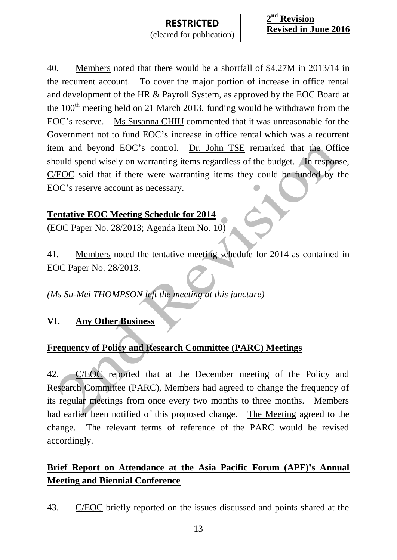40. Members noted that there would be a shortfall of \$4.27M in 2013/14 in the recurrent account. To cover the major portion of increase in office rental and development of the HR & Payroll System, as approved by the EOC Board at the  $100<sup>th</sup>$  meeting held on 21 March 2013, funding would be withdrawn from the EOC's reserve. Ms Susanna CHIU commented that it was unreasonable for the Government not to fund EOC's increase in office rental which was a recurrent item and beyond EOC's control. Dr. John TSE remarked that the Office should spend wisely on warranting items regardless of the budget. In response, C/EOC said that if there were warranting items they could be funded by the EOC's reserve account as necessary.

# **Tentative EOC Meeting Schedule for 2014**

(EOC Paper No. 28/2013; Agenda Item No. 10)

41. Members noted the tentative meeting schedule for 2014 as contained in EOC Paper No. 28/2013.

# *(Ms Su-Mei THOMPSON left the meeting at this juncture)*

# **VI. Any Other Business**

# **Frequency of Policy and Research Committee (PARC) Meetings**

42. C/EOC reported that at the December meeting of the Policy and Research Committee (PARC), Members had agreed to change the frequency of its regular meetings from once every two months to three months. Members had earlier been notified of this proposed change. The Meeting agreed to the change. The relevant terms of reference of the PARC would be revised accordingly.

# **Brief Report on Attendance at the Asia Pacific Forum (APF)'s Annual Meeting and Biennial Conference**

43. C/EOC briefly reported on the issues discussed and points shared at the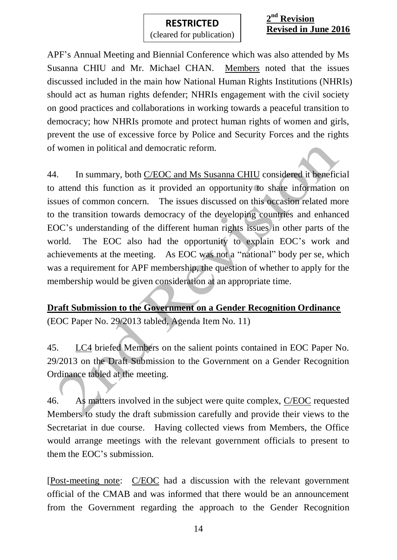#### **2 nd Revision Revised in June 2016**

APF's Annual Meeting and Biennial Conference which was also attended by Ms Susanna CHIU and Mr. Michael CHAN. Members noted that the issues discussed included in the main how National Human Rights Institutions (NHRIs) should act as human rights defender; NHRIs engagement with the civil society on good practices and collaborations in working towards a peaceful transition to democracy; how NHRIs promote and protect human rights of women and girls, prevent the use of excessive force by Police and Security Forces and the rights of women in political and democratic reform.

44. In summary, both C/EOC and Ms Susanna CHIU considered it beneficial to attend this function as it provided an opportunity to share information on issues of common concern. The issues discussed on this occasion related more to the transition towards democracy of the developing countries and enhanced EOC's understanding of the different human rights issues in other parts of the world. The EOC also had the opportunity to explain EOC's work and achievements at the meeting. As EOC was not a "national" body per se, which was a requirement for APF membership, the question of whether to apply for the membership would be given consideration at an appropriate time.

**Draft Submission to the Government on a Gender Recognition Ordinance** (EOC Paper No. 29/2013 tabled, Agenda Item No. 11)

45. LC4 briefed Members on the salient points contained in EOC Paper No. 29/2013 on the Draft Submission to the Government on a Gender Recognition Ordinance tabled at the meeting.

46. As matters involved in the subject were quite complex, C/EOC requested Members to study the draft submission carefully and provide their views to the Secretariat in due course. Having collected views from Members, the Office would arrange meetings with the relevant government officials to present to them the EOC's submission.

[Post-meeting note: C/EOC had a discussion with the relevant government official of the CMAB and was informed that there would be an announcement from the Government regarding the approach to the Gender Recognition